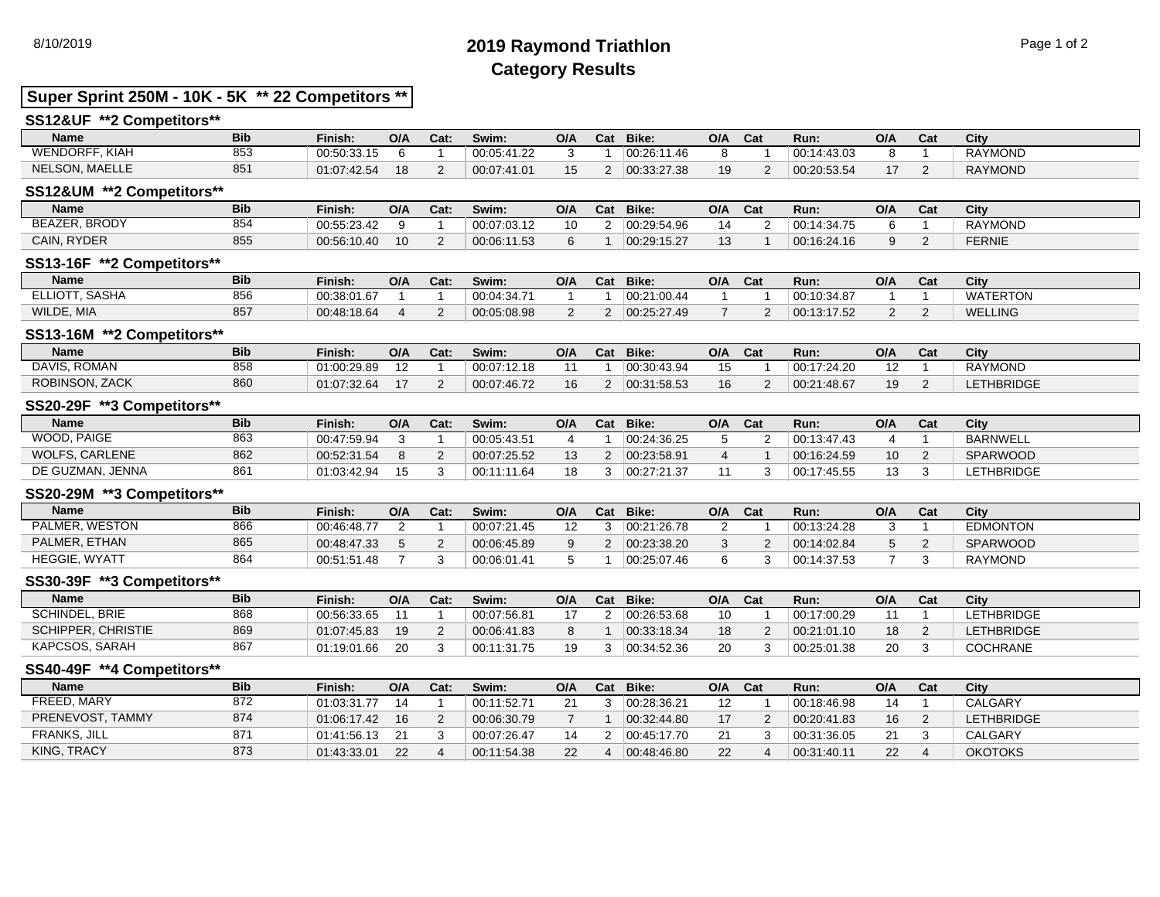# 8/10/2019 **2019 Raymond Triathlon** Page 1 of 2 **Category Results**

## **Super Sprint 250M - 10K - 5K \*\* 22 Competitors \*\***

## **SS12&UF \*\*2 Competitors\*\***

| Name                  | <b>Bib</b> | Finish:     | O/A | Cat: | Swim:       | O/A | Cat | Bike:       | O/A | Cat | Run:        | O/A           | Cat | City           |
|-----------------------|------------|-------------|-----|------|-------------|-----|-----|-------------|-----|-----|-------------|---------------|-----|----------------|
| WENDORFF, KIAH        | 853        | 00:50:33.15 |     |      | 00:05:41.22 |     |     | 00:26:11.46 |     |     | 00:14:43.03 |               |     | <b>RAYMOND</b> |
| <b>NELSON, MAELLE</b> | 85'        | 01:07:42.54 | 18  |      | 00:07:41.01 |     |     | 00:33:27.38 | 10  |     | 00:20:53.54 | $\rightarrow$ |     | <b>RAYMOND</b> |

### **SS12&UM \*\*2 Competitors\*\***

| <b>Name</b>   | <b>Bib</b> | Finish:     | O/A | Cat: | Swim:       | O/A | Cat | Bike:       | O/A            | Cat | Run:        | O/A | cat | City           |
|---------------|------------|-------------|-----|------|-------------|-----|-----|-------------|----------------|-----|-------------|-----|-----|----------------|
| BEAZER, BRODY | 854        | 00:55:23.42 |     |      | 00:07:03.12 | 10  |     | 00:29:54.96 | $\overline{ }$ |     | 00:14:34.75 |     |     | <b>RAYMOND</b> |
| CAIN, RYDER   | 855        | 00:56:10.40 | 10  |      | 00:06:11.53 |     |     | 00.29.15.27 | ιυ             |     | 00:16:24.16 |     |     | FERNIE         |

### **SS13-16F \*\*2 Competitors\*\***

| <b>Name</b>    | <b>Bib</b> | Finish:     | O/A | Cat: | Swim:       | O/A | Cat | Bike:       | O/A | Cat | Run:        | O/A | Cat | City           |
|----------------|------------|-------------|-----|------|-------------|-----|-----|-------------|-----|-----|-------------|-----|-----|----------------|
| ELLIOTT, SASHA | 856        | 00:38:01.67 |     |      | 00:04:34.71 |     |     | 00:21:00.44 |     |     | 00:10:34.87 |     |     | WATERTON       |
| WILDE, MIA     | 857        | 00:48:18.64 |     |      | 00:05:08.98 |     |     | 00:25:27.49 |     |     | 00:13:17.52 |     |     | <b>WELLING</b> |

## **SS13-16M \*\*2 Competitors\*\***

| <b>Name</b>           | <b>Bib</b> | Finish:     | O/A | Cat: | Swim:       | O/A | Cat | Bike:              | O/A | Cat | Run:        | O/A | r.,<br>ખ્યા | City              |
|-----------------------|------------|-------------|-----|------|-------------|-----|-----|--------------------|-----|-----|-------------|-----|-------------|-------------------|
| ROMAN<br>DAVIS.       | 858        | 01:00:29.89 |     |      | 00:07:12.18 |     |     | $^{+}$ 00:30:43.94 |     |     | 00:17:24.20 | ے ا |             | <b>RAYMOND</b>    |
| <b>ROBINSON, ZACK</b> | 860        | 01:07:32.64 |     |      | 00:07:46.72 | 16  |     | 00:31:58.53        | 16  |     | 00:21:48.67 | 19  |             | <b>LETHBRIDGE</b> |

### **SS20-29F \*\*3 Competitors\*\***

| <b>Name</b>      | <b>Bib</b> | Finish:     | O/A | Cat: | Swim:       | O/A | Cat | Bike:       | O/A | Cat | Run:        | O/A | Cat | City            |
|------------------|------------|-------------|-----|------|-------------|-----|-----|-------------|-----|-----|-------------|-----|-----|-----------------|
| WOOD, PAIGE      | 863        | 00:47:59.94 |     |      | 00:05:43.51 |     |     | 00:24:36.25 |     |     | 00:13:47.43 |     |     | BARNWELL        |
| WOLFS, CARLENE   | 862        | 00:52:31.54 |     |      | 00:07:25.52 |     |     | 00.23.58.91 |     |     | 00:16:24.59 | 10  |     | <b>SPARWOOD</b> |
| DE GUZMAN, JENNA | 861        | 01:03:42.94 | 15  |      | 00:11:11.64 | 18  |     | 00:27:21.37 |     |     | 00:17:45.55 | 12  |     | LETHBRIDGE      |

## **SS20-29M \*\*3 Competitors\*\***

| <b>Name</b>    | <b>Bib</b> | Finish:     | O/A | Cat: | Swim:       | O/A | Cat | Bike:       | O/A | Cat | Run:        | O/A | Cat | City            |
|----------------|------------|-------------|-----|------|-------------|-----|-----|-------------|-----|-----|-------------|-----|-----|-----------------|
| PALMER. WESTON | 866        | 00:46:48.77 |     |      | 00:07:21.45 |     |     | 00:21:26.78 |     |     | 00:13:24.28 |     |     | <b>EDMONTON</b> |
| PALMER, ETHAN  | 865        | 00:48:47.33 |     |      | 00:06:45.89 |     |     | 00:23:38.20 |     |     | 00:14:02.84 |     |     | <b>SPARWOOD</b> |
| HEGGIE, WYATT  | 864        | 00:51:51.48 |     |      | 00:06:01.41 |     |     | 00:25:07.46 |     |     | 00:14:37.53 |     |     | <b>RAYMOND</b>  |

### **SS30-39F \*\*3 Competitors\*\***

| <b>Name</b>           | <b>Bib</b> | Finish.     | O/A | Cat: | Swim:       | O/A | Cat | Bike:       | O/A | Cat | Run:        | O/A | Cat | City              |
|-----------------------|------------|-------------|-----|------|-------------|-----|-----|-------------|-----|-----|-------------|-----|-----|-------------------|
| <b>SCHINDEL, BRIE</b> | 868        | 00:56:33.65 |     |      | 00:07:56.81 |     |     | 00:26:53.68 |     |     | 00:17:00.29 |     |     | LETHBRIDGE        |
| SCHIPPER, CHRISTIE    | 869        | 01:07:45.83 | 19  |      | 00:06:41.83 |     |     | 00:33:18.34 |     |     | 00:21:01.10 | 18  |     | <b>LETHBRIDGE</b> |
| KAPCSOS, SARAH        | 867        | 01:19:01.66 | 20  |      | 00:11:31.75 | 10  |     | 00.34.52.36 |     |     | 00:25:01.38 | 20  |     | <b>COCHRANE</b>   |

# **SS40-49F \*\*4 Competitors\*\***

| <b>Name</b>         | <b>Bib</b> | Finish:     | O/A | Cat: | Swim:       | O/A | Cat | Bike:       | O/A | Cat | Run:        | O/A | Cat | City              |
|---------------------|------------|-------------|-----|------|-------------|-----|-----|-------------|-----|-----|-------------|-----|-----|-------------------|
| FREED, MARY         | 872        | 01:03:31.77 | 14  |      | 00:11:52.71 | 21  |     | 00:28:36.21 |     |     | 00:18:46.98 | 14  |     | <b>CALGARY</b>    |
| PRENEVOST, TAMMY    | 874        | 01:06:17.42 | 16  |      | 00:06:30.79 |     |     | 00:32:44.80 |     |     | 00:20:41.83 | 16  |     | <b>LETHBRIDGE</b> |
| <b>FRANKS, JILL</b> | 871        | 01:41:56.13 | 21  |      | 00:07:26.47 |     |     | 00:45:17.70 |     |     | 00:31:36.05 | 21  |     | <b>CALGARY</b>    |
| KING, TRACY         | 873        | 01:43:33.01 | 22  |      | 00:11:54.38 | 22  |     | 00:48:46.80 |     |     | 00:31:40.11 | 22  |     | <b>OKOTOKS</b>    |